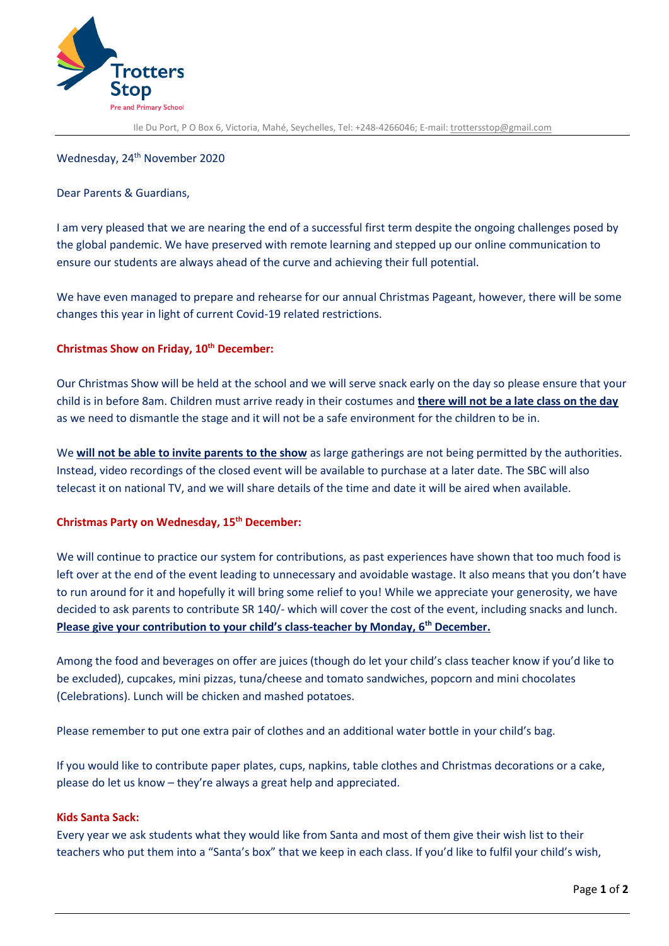

Ile Du Port, P O Box 6, Victoria, Mahé, Seychelles, Tel: +248-4266046; E-mail: [trottersstop@gmail.com](mailto:trottersstop@gmail.com)

# Wednesday, 24<sup>th</sup> November 2020

#### Dear Parents & Guardians,

I am very pleased that we are nearing the end of a successful first term despite the ongoing challenges posed by the global pandemic. We have preserved with remote learning and stepped up our online communication to ensure our students are always ahead of the curve and achieving their full potential.

We have even managed to prepare and rehearse for our annual Christmas Pageant, however, there will be some changes this year in light of current Covid-19 related restrictions.

### **Christmas Show on Friday, 10th December:**

Our Christmas Show will be held at the school and we will serve snack early on the day so please ensure that your child is in before 8am. Children must arrive ready in their costumes and **there will not be a late class on the day** as we need to dismantle the stage and it will not be a safe environment for the children to be in.

We **will not be able to invite parents to the show** as large gatherings are not being permitted by the authorities. Instead, video recordings of the closed event will be available to purchase at a later date. The SBC will also telecast it on national TV, and we will share details of the time and date it will be aired when available.

### **Christmas Party on Wednesday, 15 th December:**

We will continue to practice our system for contributions, as past experiences have shown that too much food is left over at the end of the event leading to unnecessary and avoidable wastage. It also means that you don't have to run around for it and hopefully it will bring some relief to you! While we appreciate your generosity, we have decided to ask parents to contribute SR 140/- which will cover the cost of the event, including snacks and lunch. **Please give your contribution to your child's class-teacher by Monday, 6th December.**

Among the food and beverages on offer are juices (though do let your child's class teacher know if you'd like to be excluded), cupcakes, mini pizzas, tuna/cheese and tomato sandwiches, popcorn and mini chocolates (Celebrations). Lunch will be chicken and mashed potatoes.

Please remember to put one extra pair of clothes and an additional water bottle in your child's bag.

If you would like to contribute paper plates, cups, napkins, table clothes and Christmas decorations or a cake, please do let us know – they're always a great help and appreciated.

# **Kids Santa Sack:**

Every year we ask students what they would like from Santa and most of them give their wish list to their teachers who put them into a "Santa's box" that we keep in each class. If you'd like to fulfil your child's wish,